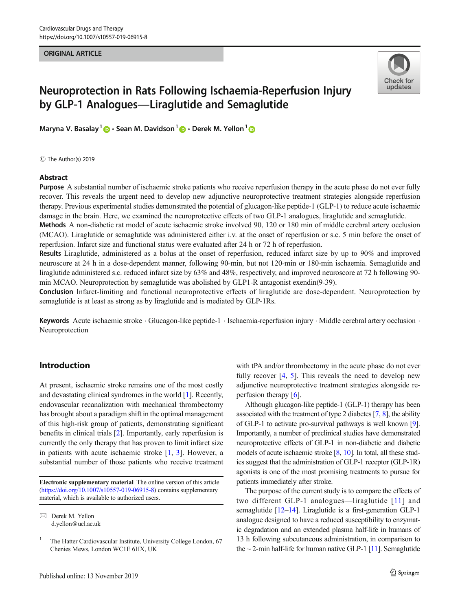#### ORIGINAL ARTICLE

# Check for updates

# Neuroprotection in Rats Following Ischaemia-Reperfusion Injury by GLP-1 Analogues—Liraglutide and Semaglutide

Maryna V. Basalay<sup>1</sup>  $\mathbf{D} \cdot \mathbf{S}$ ean M. Davidson<sup>1</sup>  $\mathbf{D} \cdot \mathbf{D}$ erek M. Yellon<sup>1</sup>  $\mathbf{D}$ 

C The Author(s) 2019

#### Abstract

Purpose A substantial number of ischaemic stroke patients who receive reperfusion therapy in the acute phase do not ever fully recover. This reveals the urgent need to develop new adjunctive neuroprotective treatment strategies alongside reperfusion therapy. Previous experimental studies demonstrated the potential of glucagon-like peptide-1 (GLP-1) to reduce acute ischaemic damage in the brain. Here, we examined the neuroprotective effects of two GLP-1 analogues, liraglutide and semaglutide.

Methods A non-diabetic rat model of acute ischaemic stroke involved 90, 120 or 180 min of middle cerebral artery occlusion (MCAO). Liraglutide or semaglutide was administered either i.v. at the onset of reperfusion or s.c. 5 min before the onset of reperfusion. Infarct size and functional status were evaluated after 24 h or 72 h of reperfusion.

Results Liraglutide, administered as a bolus at the onset of reperfusion, reduced infarct size by up to 90% and improved neuroscore at 24 h in a dose-dependent manner, following 90-min, but not 120-min or 180-min ischaemia. Semaglutide and liraglutide administered s.c. reduced infarct size by 63% and 48%, respectively, and improved neuroscore at 72 h following 90 min MCAO. Neuroprotection by semaglutide was abolished by GLP1-R antagonist exendin(9-39).

Conclusion Infarct-limiting and functional neuroprotective effects of liraglutide are dose-dependent. Neuroprotection by semaglutide is at least as strong as by liraglutide and is mediated by GLP-1Rs.

Keywords Acute ischaemic stroke · Glucagon-like peptide-1 · Ischaemia-reperfusion injury · Middle cerebral artery occlusion · Neuroprotection

# Introduction

At present, ischaemic stroke remains one of the most costly and devastating clinical syndromes in the world [\[1](#page-5-0)]. Recently, endovascular recanalization with mechanical thrombectomy has brought about a paradigm shift in the optimal management of this high-risk group of patients, demonstrating significant benefits in clinical trials [[2](#page-5-0)]. Importantly, early reperfusion is currently the only therapy that has proven to limit infarct size in patients with acute ischaemic stroke [[1,](#page-5-0) [3](#page-5-0)]. However, a substantial number of those patients who receive treatment

Electronic supplementary material The online version of this article ([https://doi.org/10.1007/s10557-019-06915-8\)](https://doi.org/10.1007/s10557-019-06915-8) contains supplementary material, which is available to authorized users.

with tPA and/or thrombectomy in the acute phase do not ever fully recover [[4,](#page-5-0) [5\]](#page-5-0). This reveals the need to develop new adjunctive neuroprotective treatment strategies alongside reperfusion therapy [\[6\]](#page-5-0).

Although glucagon-like peptide-1 (GLP-1) therapy has been associated with the treatment of type 2 diabetes  $[7, 8]$  $[7, 8]$  $[7, 8]$ , the ability of GLP-1 to activate pro-survival pathways is well known [\[9\]](#page-5-0). Importantly, a number of preclinical studies have demonstrated neuroprotective effects of GLP-1 in non-diabetic and diabetic models of acute ischaemic stroke [\[8,](#page-5-0) [10](#page-5-0)]. In total, all these studies suggest that the administration of GLP-1 receptor (GLP-1R) agonists is one of the most promising treatments to pursue for patients immediately after stroke.

The purpose of the current study is to compare the effects of two different GLP-1 analogues—liraglutide [[11\]](#page-5-0) and semaglutide [\[12](#page-5-0)–[14](#page-5-0)]. Liraglutide is a first-generation GLP-1 analogue designed to have a reduced susceptibility to enzymatic degradation and an extended plasma half-life in humans of 13 h following subcutaneous administration, in comparison to the  $\sim$  2-min half-life for human native GLP-1 [\[11](#page-5-0)]. Semaglutide

 $\boxtimes$  Derek M. Yellon [d.yellon@ucl.ac.uk](mailto:d.yellon@ucl.ac.uk)

<sup>&</sup>lt;sup>1</sup> The Hatter Cardiovascular Institute, University College London, 67 Chenies Mews, London WC1E 6HX, UK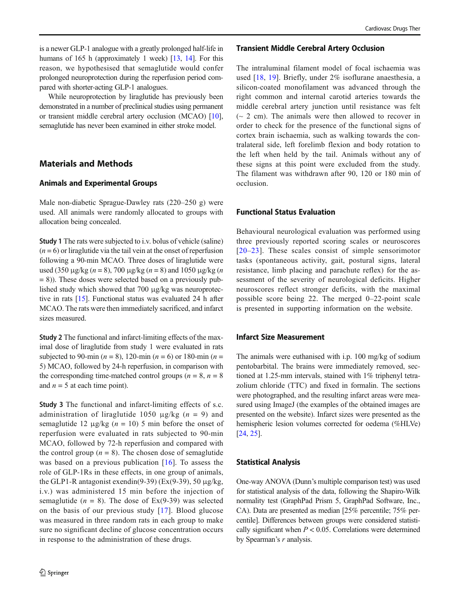is a newer GLP-1 analogue with a greatly prolonged half-life in humans of 165 h (approximately 1 week) [[13](#page-5-0), [14](#page-5-0)]. For this reason, we hypothesised that semaglutide would confer prolonged neuroprotection during the reperfusion period compared with shorter-acting GLP-1 analogues.

While neuroprotection by liraglutide has previously been demonstrated in a number of preclinical studies using permanent or transient middle cerebral artery occlusion (MCAO) [[10\]](#page-5-0), semaglutide has never been examined in either stroke model.

# Materials and Methods

#### Animals and Experimental Groups

Male non-diabetic Sprague-Dawley rats (220–250 g) were used. All animals were randomly allocated to groups with allocation being concealed.

Study 1 The rats were subjected to i.v. bolus of vehicle (saline)  $(n = 6)$  or liraglutide via the tail vein at the onset of reperfusion following a 90-min MCAO. Three doses of liraglutide were used (350 μg/kg ( $n = 8$ ), 700 μg/kg ( $n = 8$ ) and 1050 μg/kg ( $n = 8$ )  $= 8$ )). These doses were selected based on a previously published study which showed that 700 μg/kg was neuroprotective in rats [[15\]](#page-5-0). Functional status was evaluated 24 h after MCAO. The rats were then immediately sacrificed, and infarct sizes measured.

Study 2 The functional and infarct-limiting effects of the maximal dose of liraglutide from study 1 were evaluated in rats subjected to 90-min ( $n = 8$ ), 120-min ( $n = 6$ ) or 180-min ( $n =$ 5) MCAO, followed by 24-h reperfusion, in comparison with the corresponding time-matched control groups ( $n = 8$ ,  $n = 8$ ) and  $n = 5$  at each time point).

Study 3 The functional and infarct-limiting effects of s.c. administration of liraglutide 1050  $\mu$ g/kg (n = 9) and semaglutide 12 μg/kg  $(n = 10)$  5 min before the onset of reperfusion were evaluated in rats subjected to 90-min MCAO, followed by 72-h reperfusion and compared with the control group ( $n = 8$ ). The chosen dose of semaglutide was based on a previous publication [[16](#page-5-0)]. To assess the role of GLP-1Rs in these effects, in one group of animals, the GLP1-R antagonist exendin(9-39) (Ex(9-39), 50  $\mu$ g/kg, i.v.) was administered 15 min before the injection of semaglutide ( $n = 8$ ). The dose of Ex(9-39) was selected on the basis of our previous study [[17\]](#page-5-0). Blood glucose was measured in three random rats in each group to make sure no significant decline of glucose concentration occurs in response to the administration of these drugs.

#### Transient Middle Cerebral Artery Occlusion

The intraluminal filament model of focal ischaemia was used [\[18,](#page-5-0) [19\]](#page-5-0). Briefly, under 2% isoflurane anaesthesia, a silicon-coated monofilament was advanced through the right common and internal carotid arteries towards the middle cerebral artery junction until resistance was felt  $\sim$  2 cm). The animals were then allowed to recover in order to check for the presence of the functional signs of cortex brain ischaemia, such as walking towards the contralateral side, left forelimb flexion and body rotation to the left when held by the tail. Animals without any of these signs at this point were excluded from the study. The filament was withdrawn after 90, 120 or 180 min of occlusion.

# Functional Status Evaluation

Behavioural neurological evaluation was performed using three previously reported scoring scales or neuroscores [[20](#page-5-0)–[23](#page-5-0)]. These scales consist of simple sensorimotor tasks (spontaneous activity, gait, postural signs, lateral resistance, limb placing and parachute reflex) for the assessment of the severity of neurological deficits. Higher neuroscores reflect stronger deficits, with the maximal possible score being 22. The merged 0–22-point scale is presented in supporting information on the website.

# Infarct Size Measurement

The animals were euthanised with i.p. 100 mg/kg of sodium pentobarbital. The brains were immediately removed, sectioned at 1.25-mm intervals, stained with 1% triphenyl tetrazolium chloride (TTC) and fixed in formalin. The sections were photographed, and the resulting infarct areas were measured using ImageJ (the examples of the obtained images are presented on the website). Infarct sizes were presented as the hemispheric lesion volumes corrected for oedema (%HLVe) [\[24](#page-5-0), [25\]](#page-5-0).

#### Statistical Analysis

One-way ANOVA (Dunn's multiple comparison test) was used for statistical analysis of the data, following the Shapiro-Wilk normality test (GraphPad Prism 5, GraphPad Software, Inc., CA). Data are presented as median [25% percentile; 75% percentile]. Differences between groups were considered statistically significant when  $P < 0.05$ . Correlations were determined by Spearman's  $r$  analysis.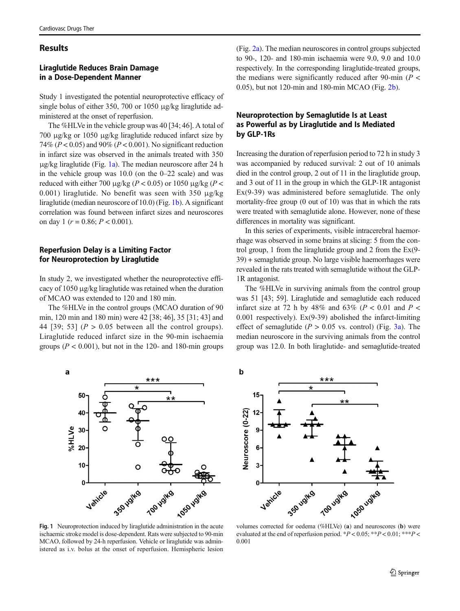# **Results**

# Liraglutide Reduces Brain Damage in a Dose-Dependent Manner

Study 1 investigated the potential neuroprotective efficacy of single bolus of either 350, 700 or 1050 μg/kg liraglutide administered at the onset of reperfusion.

The %HLVe in the vehicle group was 40 [34; 46]. A total of 700 μg/kg or 1050 μg/kg liraglutide reduced infarct size by 74% ( $P < 0.05$ ) and 90% ( $P < 0.001$ ). No significant reduction in infarct size was observed in the animals treated with 350 μg/kg liraglutide (Fig. 1a). The median neuroscore after 24 h in the vehicle group was 10.0 (on the 0–22 scale) and was reduced with either 700 μg/kg ( $P < 0.05$ ) or 1050 μg/kg ( $P <$ 0.001) liraglutide. No benefit was seen with 350 μg/kg liraglutide (median neuroscore of 10.0) (Fig. 1b). A significant correlation was found between infarct sizes and neuroscores on day 1 ( $r = 0.86$ ;  $P < 0.001$ ).

# Reperfusion Delay is a Limiting Factor for Neuroprotection by Liraglutide

In study 2, we investigated whether the neuroprotective efficacy of 1050 μg/kg liraglutide was retained when the duration of MCAO was extended to 120 and 180 min.

The %HLVe in the control groups (MCAO duration of 90 min, 120 min and 180 min) were 42 [38; 46], 35 [31; 43] and 44 [39; 53] ( $P > 0.05$  between all the control groups). Liraglutide reduced infarct size in the 90-min ischaemia groups ( $P < 0.001$ ), but not in the 120- and 180-min groups (Fig. [2a\)](#page-3-0). The median neuroscores in control groups subjected to 90-, 120- and 180-min ischaemia were 9.0, 9.0 and 10.0 respectively. In the corresponding liraglutide-treated groups, the medians were significantly reduced after 90-min ( $P <$ 0.05), but not 120-min and 180-min MCAO (Fig. [2b\)](#page-3-0).

# Neuroprotection by Semaglutide Is at Least as Powerful as by Liraglutide and Is Mediated by GLP-1Rs

Increasing the duration of reperfusion period to 72 h in study 3 was accompanied by reduced survival: 2 out of 10 animals died in the control group, 2 out of 11 in the liraglutide group, and 3 out of 11 in the group in which the GLP-1R antagonist Ex(9-39) was administered before semaglutide. The only mortality-free group (0 out of 10) was that in which the rats were treated with semaglutide alone. However, none of these differences in mortality was significant.

In this series of experiments, visible intracerebral haemorrhage was observed in some brains at slicing: 5 from the control group, 1 from the liraglutide group and 2 from the Ex(9- 39) + semaglutide group. No large visible haemorrhages were revealed in the rats treated with semaglutide without the GLP-1R antagonist.

The %HLVe in surviving animals from the control group was 51 [43; 59]. Liraglutide and semaglutide each reduced infarct size at 72 h by 48% and 63% ( $P < 0.01$  and  $P <$ 0.001 respectively).  $Ex(9-39)$  abolished the infarct-limiting effect of semaglutide ( $P > 0.05$  vs. control) (Fig. [3a\)](#page-3-0). The median neuroscore in the surviving animals from the control group was 12.0. In both liraglutide- and semaglutide-treated



Fig. 1 Neuroprotection induced by liraglutide administration in the acute ischaemic stroke model is dose-dependent. Rats were subjected to 90-min MCAO, followed by 24-h reperfusion. Vehicle or liraglutide was administered as i.v. bolus at the onset of reperfusion. Hemispheric lesion



evaluated at the end of reperfusion period. \*  $P < 0.05$ ; \*\* $P < 0.01$ ; \*\*\* $P <$ 0.001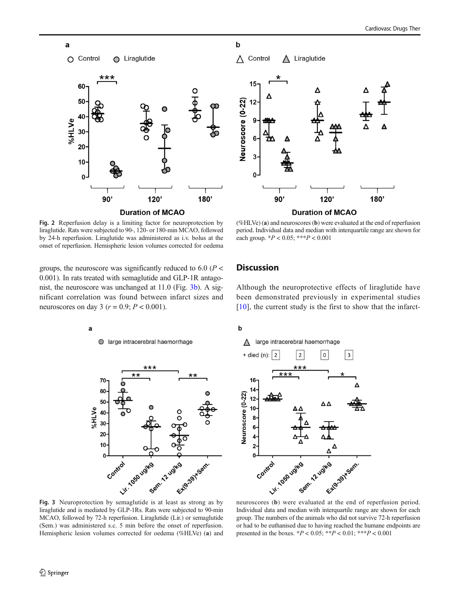

Fig. 2 Reperfusion delay is a limiting factor for neuroprotection by liraglutide. Rats were subjected to 90-, 120- or 180-min MCAO, followed by 24-h reperfusion. Liraglutide was administered as i.v. bolus at the onset of reperfusion. Hemispheric lesion volumes corrected for oedema

groups, the neuroscore was significantly reduced to 6.0 ( $P$  < 0.001). In rats treated with semaglutide and GLP-1R antagonist, the neuroscore was unchanged at 11.0 (Fig. 3b). A significant correlation was found between infarct sizes and neuroscores on day 3 ( $r = 0.9$ ;  $P < 0.001$ ).



<span id="page-3-0"></span>a

 $\bigcirc$ large intracerebral haemorrhage



liraglutide and is mediated by GLP-1Rs. Rats were subjected to 90-min MCAO, followed by 72-h reperfusion. Liraglutide (Lir.) or semaglutide (Sem.) was administered s.c. 5 min before the onset of reperfusion. Hemispheric lesion volumes corrected for oedema (%HLVe) (a) and



 $\mathbf b$ 



(%HLVe) (a) and neuroscores (b) were evaluated at the end of reperfusion period. Individual data and median with interquartile range are shown for each group.  $*P < 0.05$ ;  $***P < 0.001$ 

# **Discussion**

Although the neuroprotective effects of liraglutide have been demonstrated previously in experimental studies  $[10]$ , the current study is the first to show that the infarct-

# $\mathbf b$





Individual data and median with interquartile range are shown for each group. The numbers of the animals who did not survive 72-h reperfusion or had to be euthanised due to having reached the humane endpoints are presented in the boxes.  $*P < 0.05$ ;  $**P < 0.01$ ;  $**P < 0.001$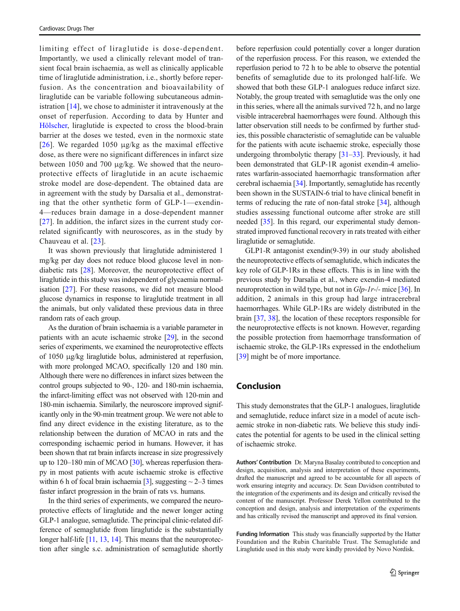limiting effect of liraglutide is dose-dependent. Importantly, we used a clinically relevant model of transient focal brain ischaemia, as well as clinically applicable time of liraglutide administration, i.e., shortly before reperfusion. As the concentration and bioavailability of liraglutide can be variable following subcutaneous administration [[14\]](#page-5-0), we chose to administer it intravenously at the onset of reperfusion. According to data by Hunter and [Hölscher](https://www.ncbi.nlm.nih.gov/pubmed/?term=H%C3%B6lscher%20C%5BAuthor%5D&cauthor=true&cauthor_uid=22443187), liraglutide is expected to cross the blood-brain barrier at the doses we tested, even in the normoxic state [\[26\]](#page-5-0). We regarded 1050  $\mu$ g/kg as the maximal effective dose, as there were no significant differences in infarct size between 1050 and 700 μg/kg. We showed that the neuroprotective effects of liraglutide in an acute ischaemic stroke model are dose-dependent. The obtained data are in agreement with the study by Darsalia et al., demonstrating that the other synthetic form of GLP-1—exendin-4—reduces brain damage in a dose-dependent manner [\[27\]](#page-5-0). In addition, the infarct sizes in the current study correlated significantly with neuroscores, as in the study by Chauveau et al. [[23](#page-5-0)].

It was shown previously that liraglutide administered 1 mg/kg per day does not reduce blood glucose level in nondiabetic rats [[28\]](#page-5-0). Moreover, the neuroprotective effect of liraglutide in this study was independent of glycaemia normalisation [\[27](#page-5-0)]. For these reasons, we did not measure blood glucose dynamics in response to liraglutide treatment in all the animals, but only validated these previous data in three random rats of each group.

As the duration of brain ischaemia is a variable parameter in patients with an acute ischaemic stroke [[29\]](#page-5-0), in the second series of experiments, we examined the neuroprotective effects of 1050 μg/kg liraglutide bolus, administered at reperfusion, with more prolonged MCAO, specifically 120 and 180 min. Although there were no differences in infarct sizes between the control groups subjected to 90-, 120- and 180-min ischaemia, the infarct-limiting effect was not observed with 120-min and 180-min ischaemia. Similarly, the neuroscore improved significantly only in the 90-min treatment group. We were not able to find any direct evidence in the existing literature, as to the relationship between the duration of MCAO in rats and the corresponding ischaemic period in humans. However, it has been shown that rat brain infarcts increase in size progressively up to 120–180 min of MCAO [\[30\]](#page-5-0), whereas reperfusion therapy in most patients with acute ischaemic stroke is effective within 6 h of focal brain ischaemia [[3](#page-5-0)], suggesting  $\sim$  2–3 times faster infarct progression in the brain of rats vs. humans.

In the third series of experiments, we compared the neuroprotective effects of liraglutide and the newer longer acting GLP-1 analogue, semaglutide. The principal clinic-related difference of semaglutide from liraglutide is the substantially longer half-life [[11,](#page-5-0) [13,](#page-5-0) [14](#page-5-0)]. This means that the neuroprotection after single s.c. administration of semaglutide shortly before reperfusion could potentially cover a longer duration of the reperfusion process. For this reason, we extended the reperfusion period to 72 h to be able to observe the potential benefits of semaglutide due to its prolonged half-life. We showed that both these GLP-1 analogues reduce infarct size. Notably, the group treated with semaglutide was the only one in this series, where all the animals survived 72 h, and no large visible intracerebral haemorrhages were found. Although this latter observation still needs to be confirmed by further studies, this possible characteristic of semaglutide can be valuable for the patients with acute ischaemic stroke, especially those undergoing thrombolytic therapy [\[31](#page-5-0)–[33](#page-6-0)]. Previously, it had been demonstrated that GLP-1R agonist exendin-4 ameliorates warfarin-associated haemorrhagic transformation after cerebral ischaemia [[34\]](#page-6-0). Importantly, semaglutide has recently been shown in the SUSTAIN-6 trial to have clinical benefit in terms of reducing the rate of non-fatal stroke [[34](#page-6-0)], although studies assessing functional outcome after stroke are still needed [\[35](#page-6-0)]. In this regard, our experimental study demonstrated improved functional recovery in rats treated with either liraglutide or semaglutide.

GLP1-R antagonist exendin(9-39) in our study abolished the neuroprotective effects of semaglutide, which indicates the key role of GLP-1Rs in these effects. This is in line with the previous study by Darsalia et al., where exendin-4 mediated neuroprotection in wild type, but not in *Glp-1r-/-* mice [[36\]](#page-6-0). In addition, 2 animals in this group had large intracerebral haemorrhages. While GLP-1Rs are widely distributed in the brain [\[37,](#page-6-0) [38\]](#page-6-0), the location of these receptors responsible for the neuroprotective effects is not known. However, regarding the possible protection from haemorrhage transformation of ischaemic stroke, the GLP-1Rs expressed in the endothelium [\[39](#page-6-0)] might be of more importance.

#### Conclusion

This study demonstrates that the GLP-1 analogues, liraglutide and semaglutide, reduce infarct size in a model of acute ischaemic stroke in non-diabetic rats. We believe this study indicates the potential for agents to be used in the clinical setting of ischaemic stroke.

Authors' Contribution Dr. Maryna Basalay contributed to conception and design, acquisition, analysis and interpretation of these experiments, drafted the manuscript and agreed to be accountable for all aspects of work ensuring integrity and accuracy. Dr. Sean Davidson contributed to the integration of the experiments and its design and critically revised the content of the manuscript. Professor Derek Yellon contributed to the conception and design, analysis and interpretation of the experiments and has critically revised the manuscript and approved its final version.

Funding Information This study was financially supported by the Hatter Foundation and the Rubin Charitable Trust. The Semaglutide and Liraglutide used in this study were kindly provided by Novo Nordisk.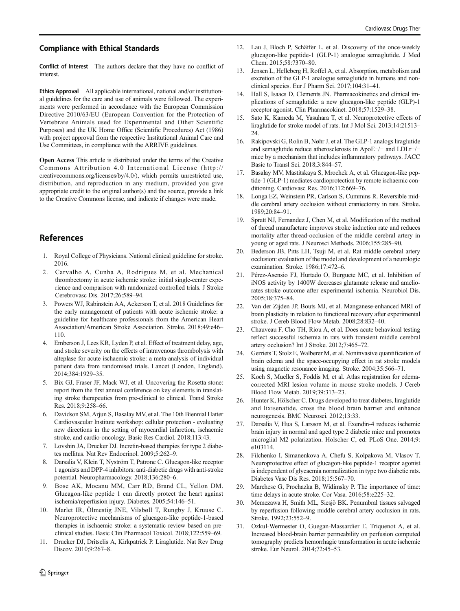#### <span id="page-5-0"></span>Compliance with Ethical Standards

Conflict of Interest The authors declare that they have no conflict of interest.

Ethics Approval All applicable international, national and/or institutional guidelines for the care and use of animals were followed. The experiments were performed in accordance with the European Commission Directive 2010/63/EU (European Convention for the Protection of Vertebrate Animals used for Experimental and Other Scientific Purposes) and the UK Home Office (Scientific Procedures) Act (1986) with project approval from the respective Institutional Animal Care and Use Committees, in compliance with the ARRIVE guidelines.

Open Access This article is distributed under the terms of the Creative Commons Attribution 4.0 International License (http:// creativecommons.org/licenses/by/4.0/), which permits unrestricted use, distribution, and reproduction in any medium, provided you give appropriate credit to the original author(s) and the source, provide a link to the Creative Commons license, and indicate if changes were made.

# References

- 1. Royal College of Physicians. National clinical guideline for stroke. 2016.
- 2. Carvalho A, Cunha A, Rodrigues M, et al. Mechanical thrombectomy in acute ischemic stroke: initial single-center experience and comparison with randomized controlled trials. J Stroke Cerebrovasc Dis. 2017;26:589–94.
- 3. Powers WJ, Rabinstein AA, Ackerson T, et al. 2018 Guidelines for the early management of patients with acute ischemic stroke: a guideline for healthcare professionals from the American Heart Association/American Stroke Association. Stroke. 2018;49:e46– 110.
- 4. Emberson J, Lees KR, Lyden P, et al. Effect of treatment delay, age, and stroke severity on the effects of intravenous thrombolysis with alteplase for acute ischaemic stroke: a meta-analysis of individual patient data from randomised trials. Lancet (London, England). 2014;384:1929–35.
- 5. Bix GJ, Fraser JF, Mack WJ, et al. Uncovering the Rosetta stone: report from the first annual conference on key elements in translating stroke therapeutics from pre-clinical to clinical. Transl Stroke Res. 2018;9:258–66.
- 6. Davidson SM, Arjun S, Basalay MV, et al. The 10th Biennial Hatter Cardiovascular Institute workshop: cellular protection - evaluating new directions in the setting of myocardial infarction, ischaemic stroke, and cardio-oncology. Basic Res Cardiol. 2018;113:43.
- 7. Lovshin JA, Drucker DJ. Incretin-based therapies for type 2 diabetes mellitus. Nat Rev Endocrinol. 2009;5:262–9.
- 8. Darsalia V, Klein T, Nyström T, Patrone C. Glucagon-like receptor 1 agonists and DPP-4 inhibitors: anti-diabetic drugs with anti-stroke potential. Neuropharmacology. 2018;136:280–6.
- 9. Bose AK, Mocanu MM, Carr RD, Brand CL, Yellon DM. Glucagon-like peptide 1 can directly protect the heart against ischemia/reperfusion injury. Diabetes. 2005;54:146–51.
- 10. Marlet IR, Ölmestig JNE, Vilsbøll T, Rungby J, Kruuse C. Neuroprotective mechanisms of glucagon-like peptide-1-based therapies in ischaemic stroke: a systematic review based on preclinical studies. Basic Clin Pharmacol Toxicol. 2018;122:559–69.
- 11. Drucker DJ, Dritselis A, Kirkpatrick P. Liraglutide. Nat Rev Drug Discov. 2010;9:267–8.
- 12. Lau J, Bloch P, Schäffer L, et al. Discovery of the once-weekly glucagon-like peptide-1 (GLP-1) analogue semaglutide. J Med Chem. 2015;58:7370–80.
- 13. Jensen L, Helleberg H, Roffel A, et al. Absorption, metabolism and excretion of the GLP-1 analogue semaglutide in humans and nonclinical species. Eur J Pharm Sci. 2017;104:31–41.
- 14. Hall S, Isaacs D, Clements JN. Pharmacokinetics and clinical implications of semaglutide: a new glucagon-like peptide (GLP)-1 receptor agonist. Clin Pharmacokinet. 2018;57:1529–38.
- 15. Sato K, Kameda M, Yasuhara T, et al. Neuroprotective effects of liraglutide for stroke model of rats. Int J Mol Sci. 2013;14:21513–  $24$
- 16. Rakipovski G, Rolin B, Nøhr J, et al. The GLP-1 analogs liraglutide and semaglutide reduce atherosclerosis in ApoE−/− and LDLr−/− mice by a mechanism that includes inflammatory pathways. JACC Basic to Transl Sci. 2018;3:844–57.
- 17. Basalay MV, Mastitskaya S, Mrochek A, et al. Glucagon-like peptide-1 (GLP-1) mediates cardioprotection by remote ischaemic conditioning. Cardiovasc Res. 2016;112:669–76.
- 18. Longa EZ, Weinstein PR, Carlson S, Cummins R. Reversible middle cerebral artery occlusion without craniectomy in rats. Stroke. 1989;20:84–91.
- 19. Spratt NJ, Fernandez J, Chen M, et al. Modification of the method of thread manufacture improves stroke induction rate and reduces mortality after thread-occlusion of the middle cerebral artery in young or aged rats. J Neurosci Methods. 2006;155:285–90.
- 20. Bederson JB, Pitts LH, Tsuji M, et al. Rat middle cerebral artery occlusion: evaluation of the model and development of a neurologic examination. Stroke. 1986;17:472–6.
- 21. Pérez-Asensio FJ, Hurtado O, Burguete MC, et al. Inhibition of iNOS activity by 1400W decreases glutamate release and ameliorates stroke outcome after experimental ischemia. Neurobiol Dis. 2005;18:375–84.
- 22. Van der Zijden JP, Bouts MJ, et al. Manganese-enhanced MRI of brain plasticity in relation to functional recovery after experimental stroke. J Cereb Blood Flow Metab. 2008;28:832–40.
- 23. Chauveau F, Cho TH, Riou A, et al. Does acute behavioral testing reflect successful ischemia in rats with transient middle cerebral artery occlusion? Int J Stroke. 2012;7:465–72.
- 24. Gerriets T, Stolz E, Walberer M, et al. Noninvasive quantification of brain edema and the space-occupying effect in rat stroke models using magnetic resonance imaging. Stroke. 2004;35:566–71.
- 25. Koch S, Mueller S, Foddis M, et al. Atlas registration for edemacorrected MRI lesion volume in mouse stroke models. J Cereb Blood Flow Metab. 2019;39:313–23.
- 26. Hunter K, Hölscher C. Drugs developed to treat diabetes, liraglutide and lixisenatide, cross the blood brain barrier and enhance neurogenesis. BMC Neurosci. 2012;13:33.
- 27. Darsalia V, Hua S, Larsson M, et al. Exendin-4 reduces ischemic brain injury in normal and aged type 2 diabetic mice and promotes microglial M2 polarization. Holscher C, ed. PLoS One. 2014;9: e103114.
- 28. Filchenko I, Simanenkova A, Chefu S, Kolpakova M, Vlasov T. Neuroprotective effect of glucagon-like peptide-1 receptor agonist is independent of glycaemia normalization in type two diabetic rats. Diabetes Vasc Dis Res. 2018;15:567–70.
- 29. Marchese G, Prochazka B, Widimsky P. The importance of time: time delays in acute stroke. Cor Vasa. 2016;58:e225–32.
- 30. Memezawa H, Smith ML, Siesjö BK. Penumbral tissues salvaged by reperfusion following middle cerebral artery occlusion in rats. Stroke. 1992;23:552–9.
- 31. Ozkul-Wermester O, Guegan-Massardier E, Triquenot A, et al. Increased blood-brain barrier permeability on perfusion computed tomography predicts hemorrhagic transformation in acute ischemic stroke. Eur Neurol. 2014;72:45–53.